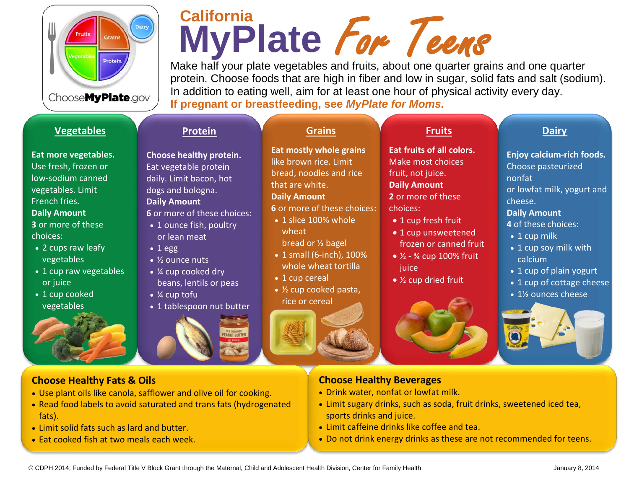

## MyPlate Fore Teense<br>Make half your plate vegetables and fruits, about one quarter grains and one quarter **MyPlate California** Fore Teens

protein. Choose foods that are high in fiber and low in sugar, solid fats and salt (sodium). In addition to eating well, aim for at least one hour of physical activity every day. **If pregnant or breastfeeding, see** *MyPlate for Moms.*

### **[Vegetables](http://www.choosemyplate.gov/food-groups/vegetables.html)**

**Eat more vegetables.** Use fresh, frozen or low-sodium canned vegetables. Limit French fries. **Daily Amount 3** or more of these choices:

- 2 cups raw leafy vegetables
- 1 cup raw vegetables or juice
- 1 cup cooked vegetables



#### **Choose Healthy [Fats & Oils](http://www.choosemyplate.gov/food-groups/oils.html)**

- Use plant oils like canola, safflower and olive oil for cooking.
- Read food labels to avoid saturated and trans fats (hydrogenated fats).
- Limit solid fats such as lard and butter.
- Eat cooked fish at two meals each week.

#### **[Grains](http://www.choosemyplate.gov/food-groups/grains.html)**

**Eat mostly whole grains** 

like brown rice. Limit bread, noodles and rice

that are white.

**Daily Amount**

**6** or more of these choices:

- 1 slice 100% whole wheat
- bread or ½ bagel
- 1 small (6-inch), 100% whole wheat tortilla
- 1 cup cereal
- ½ cup cooked pasta, rice or cereal



**[Fruits](http://www.choosemyplate.gov/food-groups/fruits.html)**

**Eat fruits of all colors.** Make most choices fruit, not juice. **Daily Amount 2** or more of these choices:

- 1 cup fresh fruit
- 1 cup unsweetened frozen or canned fruit
- $\frac{1}{2}$   $\frac{3}{4}$  cup 100% fruit iuice
- ½ cup dried fruit



### **Choose Healthy Beverages**

- Drink water, nonfat or lowfat milk.
- Limit sugary drinks, such as soda, fruit drinks, sweetened iced tea, sports drinks and juice.
- Limit caffeine drinks like coffee and tea.
- Do not drink energy drinks as these are not recommended for teens.

**[Dairy](http://www.choosemyplate.gov/food-groups/dairy.html)**

**Enjoy calcium-rich foods.**  Choose pasteurized nonfat

or lowfat milk, yogurt and cheese.

#### **Daily Amount**

**4** of these choices:

- 1 cup milk
- 1 cup soy milk with calcium
- 1 cup of plain yogurt
- 1 cup of cottage cheese
- 1½ ounces cheese







**[Protein](http://www.choosemyplate.gov/food-groups/protein-foods.html)**

**Choose healthy protein.**  Eat vegetable protein daily. Limit bacon, hot dogs and bologna. **Daily Amount**

**6** or more of these choices: • 1 ounce fish, poultry

or lean meat

 $\overline{\bullet}$  % ounce nuts

• 1 egg